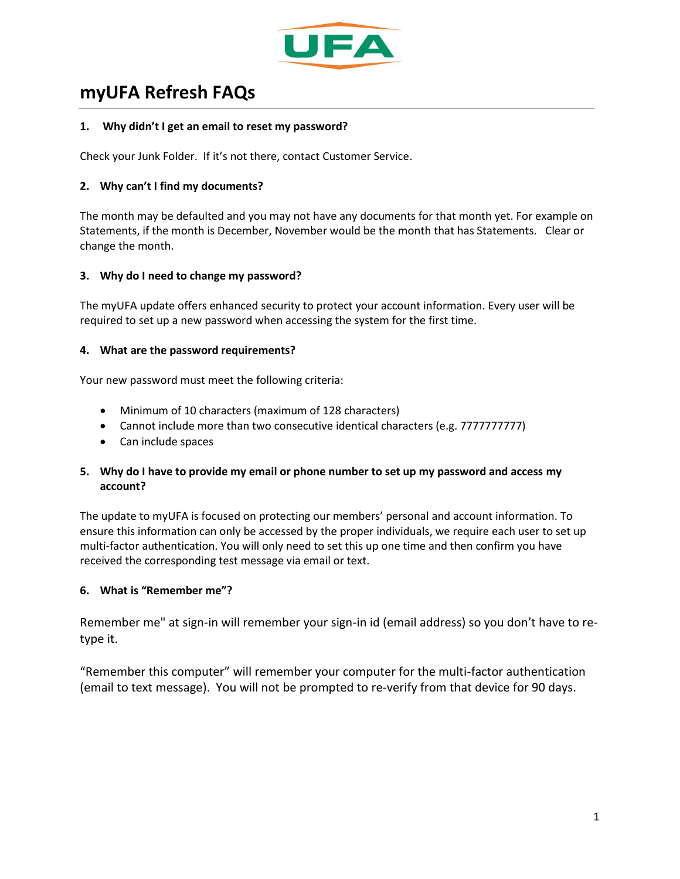

# **myUFA Refresh FAQs**

#### **1. Why didn't I get an email to reset my password?**

Check your Junk Folder. If it's not there, contact Customer Service.

## **2. Why can't I find my documents?**

The month may be defaulted and you may not have any documents for that month yet. For example on Statements, if the month is December, November would be the month that has Statements. Clear or change the month.

## **3. Why do I need to change my password?**

The myUFA update offers enhanced security to protect your account information. Every user will be required to set up a new password when accessing the system for the first time.

#### **4. What are the password requirements?**

Your new password must meet the following criteria:

- Minimum of 10 characters (maximum of 128 characters)
- Cannot include more than two consecutive identical characters (e.g. 77777777777)
- Can include spaces

# **5. Why do I have to provide my email or phone number to set up my password and access my account?**

The update to myUFA is focused on protecting our members' personal and account information. To ensure this information can only be accessed by the proper individuals, we require each user to set up multi-factor authentication. You will only need to set this up one time and then confirm you have received the corresponding test message via email or text.

#### **6. What is "Remember me"?**

Remember me" at sign-in will remember your sign-in id (email address) so you don't have to retype it.

"Remember this computer" will remember your computer for the multi-factor authentication (email to text message). You will not be prompted to re-verify from that device for 90 days.